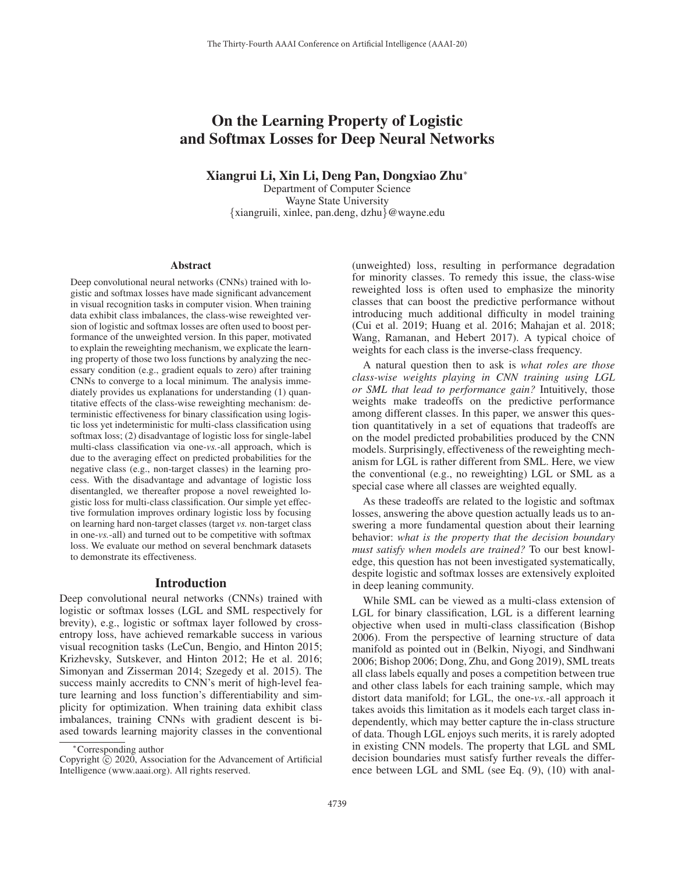# On the Learning Property of Logistic and Softmax Losses for Deep Neural Networks

Xiangrui Li, Xin Li, Deng Pan, Dongxiao Zhu<sup>∗</sup>

Department of Computer Science Wayne State University {xiangruili, xinlee, pan.deng, dzhu}@wayne.edu

#### Abstract

Deep convolutional neural networks (CNNs) trained with logistic and softmax losses have made significant advancement in visual recognition tasks in computer vision. When training data exhibit class imbalances, the class-wise reweighted version of logistic and softmax losses are often used to boost performance of the unweighted version. In this paper, motivated to explain the reweighting mechanism, we explicate the learning property of those two loss functions by analyzing the necessary condition (e.g., gradient equals to zero) after training CNNs to converge to a local minimum. The analysis immediately provides us explanations for understanding (1) quantitative effects of the class-wise reweighting mechanism: deterministic effectiveness for binary classification using logistic loss yet indeterministic for multi-class classification using softmax loss; (2) disadvantage of logistic loss for single-label multi-class classification via one-*vs.*-all approach, which is due to the averaging effect on predicted probabilities for the negative class (e.g., non-target classes) in the learning process. With the disadvantage and advantage of logistic loss disentangled, we thereafter propose a novel reweighted logistic loss for multi-class classification. Our simple yet effective formulation improves ordinary logistic loss by focusing on learning hard non-target classes (target *vs.* non-target class in one-*vs.*-all) and turned out to be competitive with softmax loss. We evaluate our method on several benchmark datasets to demonstrate its effectiveness.

#### Introduction

Deep convolutional neural networks (CNNs) trained with logistic or softmax losses (LGL and SML respectively for brevity), e.g., logistic or softmax layer followed by crossentropy loss, have achieved remarkable success in various visual recognition tasks (LeCun, Bengio, and Hinton 2015; Krizhevsky, Sutskever, and Hinton 2012; He et al. 2016; Simonyan and Zisserman 2014; Szegedy et al. 2015). The success mainly accredits to CNN's merit of high-level feature learning and loss function's differentiability and simplicity for optimization. When training data exhibit class imbalances, training CNNs with gradient descent is biased towards learning majority classes in the conventional

(unweighted) loss, resulting in performance degradation for minority classes. To remedy this issue, the class-wise reweighted loss is often used to emphasize the minority classes that can boost the predictive performance without introducing much additional difficulty in model training (Cui et al. 2019; Huang et al. 2016; Mahajan et al. 2018; Wang, Ramanan, and Hebert 2017). A typical choice of weights for each class is the inverse-class frequency.

A natural question then to ask is *what roles are those class-wise weights playing in CNN training using LGL or SML that lead to performance gain?* Intuitively, those weights make tradeoffs on the predictive performance among different classes. In this paper, we answer this question quantitatively in a set of equations that tradeoffs are on the model predicted probabilities produced by the CNN models. Surprisingly, effectiveness of the reweighting mechanism for LGL is rather different from SML. Here, we view the conventional (e.g., no reweighting) LGL or SML as a special case where all classes are weighted equally.

As these tradeoffs are related to the logistic and softmax losses, answering the above question actually leads us to answering a more fundamental question about their learning behavior: *what is the property that the decision boundary must satisfy when models are trained?* To our best knowledge, this question has not been investigated systematically, despite logistic and softmax losses are extensively exploited in deep leaning community.

While SML can be viewed as a multi-class extension of LGL for binary classification, LGL is a different learning objective when used in multi-class classification (Bishop 2006). From the perspective of learning structure of data manifold as pointed out in (Belkin, Niyogi, and Sindhwani 2006; Bishop 2006; Dong, Zhu, and Gong 2019), SML treats all class labels equally and poses a competition between true and other class labels for each training sample, which may distort data manifold; for LGL, the one-*vs.*-all approach it takes avoids this limitation as it models each target class independently, which may better capture the in-class structure of data. Though LGL enjoys such merits, it is rarely adopted in existing CNN models. The property that LGL and SML decision boundaries must satisfy further reveals the difference between LGL and SML (see Eq. (9), (10) with anal-

<sup>∗</sup>Corresponding author

Copyright  $\odot$  2020, Association for the Advancement of Artificial Intelligence (www.aaai.org). All rights reserved.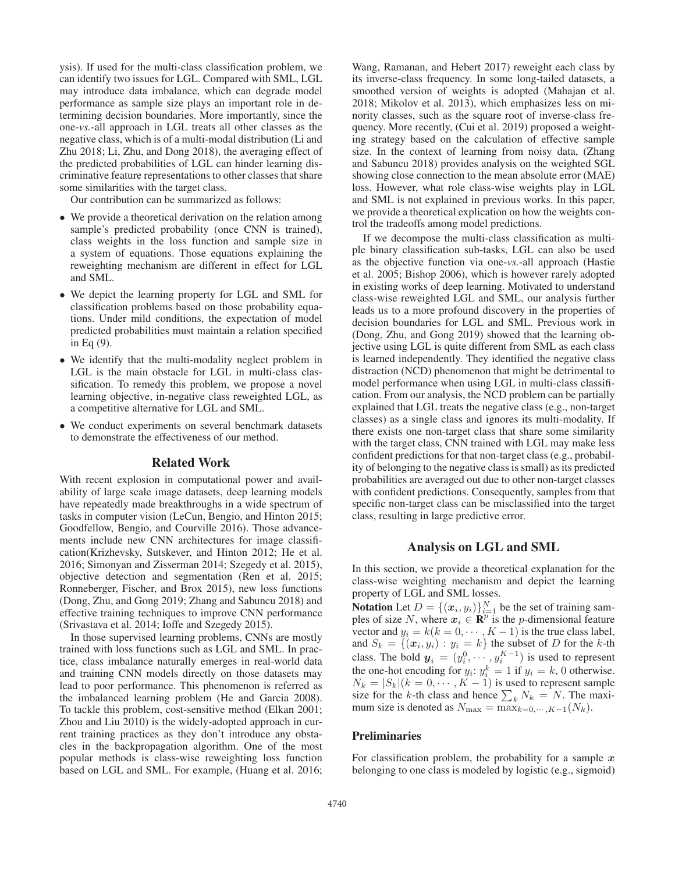ysis). If used for the multi-class classification problem, we can identify two issues for LGL. Compared with SML, LGL may introduce data imbalance, which can degrade model performance as sample size plays an important role in determining decision boundaries. More importantly, since the one-*vs.*-all approach in LGL treats all other classes as the negative class, which is of a multi-modal distribution (Li and Zhu 2018; Li, Zhu, and Dong 2018), the averaging effect of the predicted probabilities of LGL can hinder learning discriminative feature representations to other classes that share some similarities with the target class.

Our contribution can be summarized as follows:

- We provide a theoretical derivation on the relation among sample's predicted probability (once CNN is trained), class weights in the loss function and sample size in a system of equations. Those equations explaining the reweighting mechanism are different in effect for LGL and SML.
- We depict the learning property for LGL and SML for classification problems based on those probability equations. Under mild conditions, the expectation of model predicted probabilities must maintain a relation specified in Eq (9).
- We identify that the multi-modality neglect problem in LGL is the main obstacle for LGL in multi-class classification. To remedy this problem, we propose a novel learning objective, in-negative class reweighted LGL, as a competitive alternative for LGL and SML.
- We conduct experiments on several benchmark datasets to demonstrate the effectiveness of our method.

## Related Work

With recent explosion in computational power and availability of large scale image datasets, deep learning models have repeatedly made breakthroughs in a wide spectrum of tasks in computer vision (LeCun, Bengio, and Hinton 2015; Goodfellow, Bengio, and Courville 2016). Those advancements include new CNN architectures for image classification(Krizhevsky, Sutskever, and Hinton 2012; He et al. 2016; Simonyan and Zisserman 2014; Szegedy et al. 2015), objective detection and segmentation (Ren et al. 2015; Ronneberger, Fischer, and Brox 2015), new loss functions (Dong, Zhu, and Gong 2019; Zhang and Sabuncu 2018) and effective training techniques to improve CNN performance (Srivastava et al. 2014; Ioffe and Szegedy 2015).

In those supervised learning problems, CNNs are mostly trained with loss functions such as LGL and SML. In practice, class imbalance naturally emerges in real-world data and training CNN models directly on those datasets may lead to poor performance. This phenomenon is referred as the imbalanced learning problem (He and Garcia 2008). To tackle this problem, cost-sensitive method (Elkan 2001; Zhou and Liu 2010) is the widely-adopted approach in current training practices as they don't introduce any obstacles in the backpropagation algorithm. One of the most popular methods is class-wise reweighting loss function based on LGL and SML. For example, (Huang et al. 2016;

Wang, Ramanan, and Hebert 2017) reweight each class by its inverse-class frequency. In some long-tailed datasets, a smoothed version of weights is adopted (Mahajan et al. 2018; Mikolov et al. 2013), which emphasizes less on minority classes, such as the square root of inverse-class frequency. More recently, (Cui et al. 2019) proposed a weighting strategy based on the calculation of effective sample size. In the context of learning from noisy data, (Zhang and Sabuncu 2018) provides analysis on the weighted SGL showing close connection to the mean absolute error (MAE) loss. However, what role class-wise weights play in LGL and SML is not explained in previous works. In this paper, we provide a theoretical explication on how the weights control the tradeoffs among model predictions.

If we decompose the multi-class classification as multiple binary classification sub-tasks, LGL can also be used as the objective function via one-*vs.*-all approach (Hastie et al. 2005; Bishop 2006), which is however rarely adopted in existing works of deep learning. Motivated to understand class-wise reweighted LGL and SML, our analysis further leads us to a more profound discovery in the properties of decision boundaries for LGL and SML. Previous work in (Dong, Zhu, and Gong 2019) showed that the learning objective using LGL is quite different from SML as each class is learned independently. They identified the negative class distraction (NCD) phenomenon that might be detrimental to model performance when using LGL in multi-class classification. From our analysis, the NCD problem can be partially explained that LGL treats the negative class (e.g., non-target classes) as a single class and ignores its multi-modality. If there exists one non-target class that share some similarity with the target class, CNN trained with LGL may make less confident predictions for that non-target class (e.g., probability of belonging to the negative class is small) as its predicted probabilities are averaged out due to other non-target classes with confident predictions. Consequently, samples from that specific non-target class can be misclassified into the target class, resulting in large predictive error.

### Analysis on LGL and SML

In this section, we provide a theoretical explanation for the class-wise weighting mechanism and depict the learning property of LGL and SML losses.

**Notation** Let  $D = \{ (x_i, y_i) \}_{i=1}^N$  be the set of training samples of size N, where  $x_i \in \mathbb{R}^p$  is the *n*-dimensional feature ples of size N, where  $x_i \in \mathbb{R}^p$  is the *p*-dimensional feature vector and  $y_i = k(k = 0, \dots, K - 1)$  is the true class label,<br>and  $S_k = \{(x_i, y_i) : y_i = k\}$  the subset of D for the k-th and  $S_k = \{(x_i, y_i) : y_i = k\}$  the subset of D for the k-th class. The bold  $y_i = (y_i^0, \ldots, y_i^{K-1})$  is used to represent class. The bold  $y_i = (y_i^0, \dots, y_i^{K-1})$  is used to represent<br>the one-hot encoding for  $y_i: y_i^k = 1$  if  $y_i = k$ , 0 otherwise.<br> $N_k = |S_k|(k = 0 \dots K-1)$  is used to represent sample  $N_k = |S_k|(k = 0, \cdots, K-1)$  is used to represent sample size for the k-th class and hence  $\sum_k N_k = N$ . The maxi-<br>mum size is denoted as  $N_{\text{max}} = \max_{k=0} \frac{N}{K} (N_k)$ mum size is denoted as  $N_{\text{max}} = \max_{k=0,\dots,K-1}(N_k)$ .

#### **Preliminaries**

For classification problem, the probability for a sample *x* belonging to one class is modeled by logistic (e.g., sigmoid)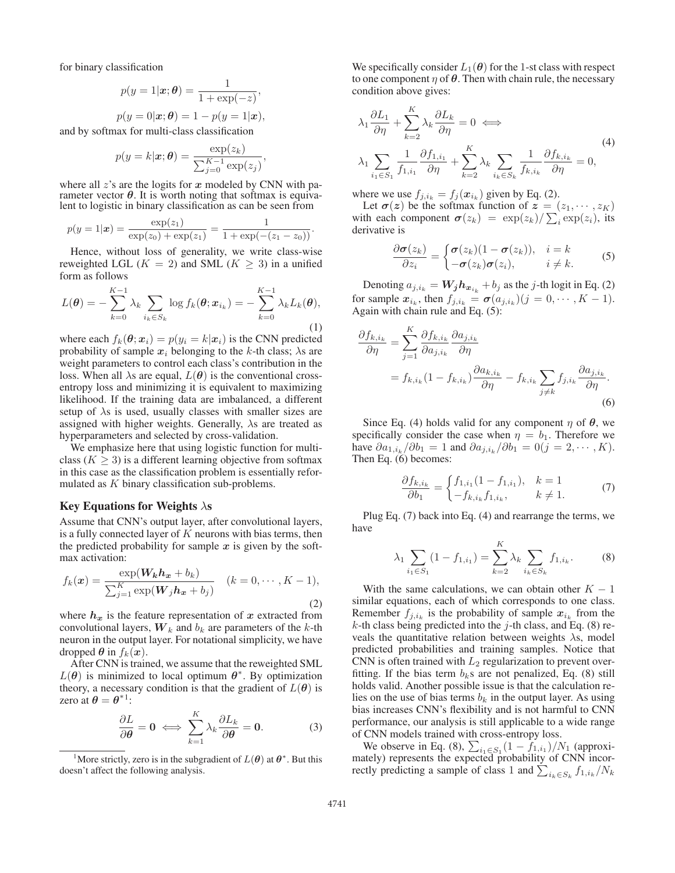for binary classification

$$
p(y = 1|\mathbf{x}; \boldsymbol{\theta}) = \frac{1}{1 + \exp(-z)},
$$
  

$$
p(y = 0|\mathbf{x}; \boldsymbol{\theta}) = 1 - p(y = 1|\mathbf{x})
$$

 $p(y = 0|\mathbf{x}; \boldsymbol{\theta}) = 1 - p(y = 1|\mathbf{x}),$ <br>and by softmax for multi-class classification

$$
p(y = k|\mathbf{x}; \boldsymbol{\theta}) = \frac{\exp(z_k)}{\sum_{j=0}^{K-1} \exp(z_j)}
$$

,

where all z's are the logits for x modeled by CNN with parameter vector  $\theta$ . It is worth noting that softmax is equivalent to logistic in binary classification as can be seen from

$$
p(y = 1|\boldsymbol{x}) = \frac{\exp(z_1)}{\exp(z_0) + \exp(z_1)} = \frac{1}{1 + \exp(-(z_1 - z_0))}.
$$

Hence, without loss of generality, we write class-wise reweighted LGL ( $K = 2$ ) and SML ( $K \geq 3$ ) in a unified form as follows

$$
L(\boldsymbol{\theta}) = -\sum_{k=0}^{K-1} \lambda_k \sum_{i_k \in S_k} \log f_k(\boldsymbol{\theta}; \boldsymbol{x}_{i_k}) = -\sum_{k=0}^{K-1} \lambda_k L_k(\boldsymbol{\theta}),
$$
\n(1)

where each  $f_k(\theta; x_i) = p(y_i = k | x_i)$  is the CNN predicted probability of sample  $x_i$  belonging to the k-th class;  $\lambda$ s are weight parameters to control each class's contribution in the loss. When all  $\lambda$ s are equal,  $L(\theta)$  is the conventional crossentropy loss and minimizing it is equivalent to maximizing likelihood. If the training data are imbalanced, a different setup of  $\lambda$ s is used, usually classes with smaller sizes are assigned with higher weights. Generally,  $\lambda$ s are treated as hyperparameters and selected by cross-validation.

We emphasize here that using logistic function for multiclass ( $K \geq 3$ ) is a different learning objective from softmax in this case as the classification problem is essentially reformulated as K binary classification sub-problems.

#### Key Equations for Weights  $\lambda$ s

Assume that CNN's output layer, after convolutional layers, is a fully connected layer of  $K$  neurons with bias terms, then the predicted probability for sample  $x$  is given by the softmax activation:

$$
f_k(\boldsymbol{x}) = \frac{\exp(\boldsymbol{W_k h_x} + b_k)}{\sum_{j=1}^K \exp(\boldsymbol{W}_j h_x + b_j)} \quad (k = 0, \cdots, K - 1),
$$
\n(2)

where  $h_x$  is the feature representation of  $x$  extracted from convolutional layers,  $W_k$  and  $b_k$  are parameters of the k-th neuron in the output layer. For notational simplicity, we have dropped  $\theta$  in  $f_k(x)$ .

After CNN is trained, we assume that the reweighted SML  $L(\theta)$  is minimized to local optimum  $\theta^*$ . By optimization theory, a necessary condition is that the gradient of  $L(\theta)$  is zero at  $\theta = \theta^{*1}$ :

$$
\frac{\partial L}{\partial \theta} = 0 \iff \sum_{k=1}^{K} \lambda_k \frac{\partial L_k}{\partial \theta} = 0. \tag{3}
$$

We specifically consider  $L_1(\theta)$  for the 1-st class with respect to one component  $\eta$  of  $\theta$ . Then with chain rule, the necessary condition above gives:

$$
\lambda_1 \frac{\partial L_1}{\partial \eta} + \sum_{k=2}^K \lambda_k \frac{\partial L_k}{\partial \eta} = 0 \iff
$$
\n
$$
\lambda_1 \sum_{i_1 \in S_1} \frac{1}{f_{1,i_1}} \frac{\partial f_{1,i_1}}{\partial \eta} + \sum_{k=2}^K \lambda_k \sum_{i_k \in S_k} \frac{1}{f_{k,i_k}} \frac{\partial f_{k,i_k}}{\partial \eta} = 0,
$$
\n(4)

where we use  $f_{j,i_k} = f_j(\boldsymbol{x}_{i_k})$  given by Eq. (2).

Let  $\sigma(z)$  be the softmax function of  $z = (z_1, \dots, z_K)$ with each component  $\sigma(z_k) = \exp(z_k) / \sum_i \exp(z_i)$ , its derivative is derivative is

$$
\frac{\partial \sigma(z_k)}{\partial z_i} = \begin{cases} \sigma(z_k)(1 - \sigma(z_k)), & i = k \\ -\sigma(z_k)\sigma(z_i), & i \neq k. \end{cases}
$$
 (5)

Denoting  $a_{j,i_k} = W_j h_{x_{i_k}} + b_j$  as the *j*-th logit in Eq. (2) for sample  $x_{i_k}$ , then  $f_{j,i_k} = \sigma(a_{j,i_k})$   $(j = 0, \dots, K - 1)$ . Again with chain rule and Eq. (5):

$$
\frac{\partial f_{k,i_k}}{\partial \eta} = \sum_{j=1}^{K} \frac{\partial f_{k,i_k}}{\partial a_{j,i_k}} \frac{\partial a_{j,i_k}}{\partial \eta} \n= f_{k,i_k} (1 - f_{k,i_k}) \frac{\partial a_{k,i_k}}{\partial \eta} - f_{k,i_k} \sum_{j \neq k} f_{j,i_k} \frac{\partial a_{j,i_k}}{\partial \eta}.
$$
\n(6)

Since Eq. (4) holds valid for any component  $\eta$  of  $\theta$ , we specifically consider the case when  $\eta = b_1$ . Therefore we have  $\partial a_{1,i_k}/\partial b_1 = 1$  and  $\partial a_{j,i_k}/\partial b_1 = 0 (j = 2, \dots, K)$ . Then Eq. (6) becomes:

$$
\frac{\partial f_{k,i_k}}{\partial b_1} = \begin{cases} f_{1,i_1}(1 - f_{1,i_1}), & k = 1\\ -f_{k,i_k}f_{1,i_k}, & k \neq 1. \end{cases}
$$
 (7)

Plug Eq. (7) back into Eq. (4) and rearrange the terms, we have

$$
\lambda_1 \sum_{i_1 \in S_1} (1 - f_{1,i_1}) = \sum_{k=2}^K \lambda_k \sum_{i_k \in S_k} f_{1,i_k}.
$$
 (8)

With the same calculations, we can obtain other  $K - 1$ similar equations, each of which corresponds to one class. Remember  $f_{j,i_k}$  is the probability of sample  $x_{i_k}$  from the  $k$ -th class being predicted into the j-th class, and Eq. (8) reveals the quantitative relation between weights  $\lambda$ s, model predicted probabilities and training samples. Notice that CNN is often trained with  $L_2$  regularization to prevent overfitting. If the bias term  $b_k$ s are not penalized, Eq. (8) still holds valid. Another possible issue is that the calculation relies on the use of bias terms  $b_k$  in the output layer. As using bias increases CNN's flexibility and is not harmful to CNN performance, our analysis is still applicable to a wide range of CNN models trained with cross-entropy loss.

We observe in Eq. (8),  $\sum_{i_1 \in S_1} (1 - f_{1,i_1})/N_1$  (approximately) represents the expected probability of CNN incorrectly predicting a sample of class 1 and  $\sum_{i_k \in S_k} f_{1,i_k}/N_k$ 

<sup>&</sup>lt;sup>1</sup>More strictly, zero is in the subgradient of  $L(\theta)$  at  $\theta^*$ . But this doesn't affect the following analysis.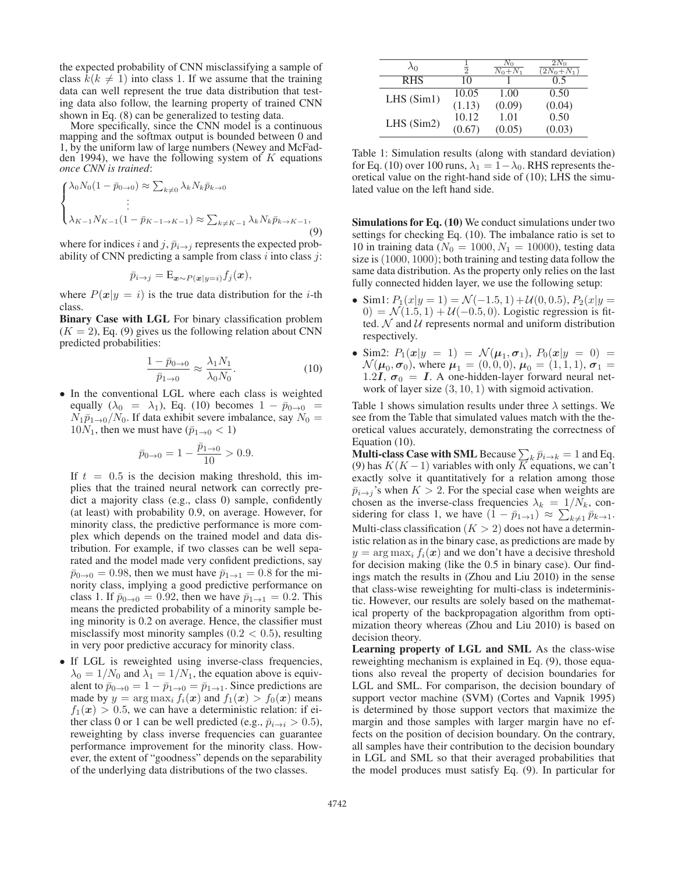the expected probability of CNN misclassifying a sample of class  $k(k \neq 1)$  into class 1. If we assume that the training data can well represent the true data distribution that testing data also follow, the learning property of trained CNN shown in Eq. (8) can be generalized to testing data.

More specifically, since the CNN model is a continuous mapping and the softmax output is bounded between 0 and 1, by the uniform law of large numbers (Newey and McFadden 1994), we have the following system of  $K$  equations *once CNN is trained*:

$$
\begin{cases} \lambda_0 N_0 (1 - \bar{p}_{0 \to 0}) \approx \sum_{k \neq 0} \lambda_k N_k \bar{p}_{k \to 0} \\ \vdots \\ \lambda_{K-1} N_{K-1} (1 - \bar{p}_{K-1 \to K-1}) \approx \sum_{k \neq K-1} \lambda_k N_k \bar{p}_{k \to K-1}, \end{cases} \tag{9}
$$

where for indices i and j,  $\bar{p}_{i\rightarrow j}$  represents the expected probability of CNN predicting a sample from class  $i$  into class  $j$ :

$$
\bar{p}_{i\to j} = \mathbf{E}_{\mathbf{x} \sim P(\mathbf{x}|y=i)} f_j(\mathbf{x}),
$$

where  $P(x|y = i)$  is the true data distribution for the *i*-th class.

Binary Case with LGL For binary classification problem  $(K = 2)$ , Eq. (9) gives us the following relation about CNN predicted probabilities:

$$
\frac{1 - \bar{p}_{0 \to 0}}{\bar{p}_{1 \to 0}} \approx \frac{\lambda_1 N_1}{\lambda_0 N_0}.
$$
 (10)

• In the conventional LGL where each class is weighted equally ( $\lambda_0 = \lambda_1$ ), Eq. (10) becomes  $1 - \bar{p}_{0 \to 0}$  =  $N_1\bar{p}_{1\to 0}/N_0$ . If data exhibit severe imbalance, say  $N_0 =$  $10N_1$ , then we must have  $(\bar{p}_{1\to 0} < 1)$ 

$$
\bar{p}_{0 \to 0} = 1 - \frac{\bar{p}_{1 \to 0}}{10} > 0.9.
$$

If  $t = 0.5$  is the decision making threshold, this im-<br>plies that the trained neural network can correctly preplies that the trained neural network can correctly predict a majority class (e.g., class 0) sample, confidently (at least) with probability 0.9, on average. However, for minority class, the predictive performance is more complex which depends on the trained model and data distribution. For example, if two classes can be well separated and the model made very confident predictions, say  $\bar{p}_{0\to0} = 0.98$ , then we must have  $\bar{p}_{1\to1} = 0.8$  for the minority class, implying a good predictive performance on class 1. If  $\bar{p}_{0\to0} = 0.92$ , then we have  $\bar{p}_{1\to1} = 0.2$ . This means the predicted probability of a minority sample being minority is 0.2 on average. Hence, the classifier must misclassify most minority samples  $(0.2 < 0.5)$ , resulting in very poor predictive accuracy for minority class.

• If LGL is reweighted using inverse-class frequencies,  $\lambda_0 = 1/N_0$  and  $\lambda_1 = 1/N_1$ , the equation above is equivalent to  $\bar{p}_{0\to 0} = 1 - \bar{p}_{1\to 0} = \bar{p}_{1\to 1}$ . Since predictions are made by  $y = \arg \max_i f_i(x)$  and  $f_1(x) > f_0(x)$  means  $f_1(x) > 0.5$ , we can have a deterministic relation: if either class 0 or 1 can be well predicted (e.g.,  $\bar{p}_{i\rightarrow i} > 0.5$ ), reweighting by class inverse frequencies can guarantee performance improvement for the minority class. However, the extent of "goodness" depends on the separability of the underlying data distributions of the two classes.

| $\lambda_0$ | $\Omega$ | ΔV <sub>0</sub><br>$\overline{N_0+N_1}$ | $2N_0$<br>$(2N_0+N_1)$ |
|-------------|----------|-----------------------------------------|------------------------|
| <b>RHS</b>  | 10       |                                         |                        |
| LHS(Sim1)   | 10.05    | 1.00                                    | 0.50                   |
|             | (1.13)   | (0.09)                                  | (0.04)                 |
| LHS(Sim2)   | 10.12    | 1.01                                    | 0.50                   |
|             | (0.67)   | (0.05)                                  | (0.03)                 |

Table 1: Simulation results (along with standard deviation) for Eq. (10) over 100 runs,  $\lambda_1 = 1 - \lambda_0$ . RHS represents theoretical value on the right-hand side of (10); LHS the simulated value on the left hand side.

Simulations for Eq. (10) We conduct simulations under two settings for checking Eq. (10). The imbalance ratio is set to 10 in training data ( $N_0 = 1000, N_1 = 10000$ ), testing data size is (1000, 1000); both training and testing data follow the same data distribution. As the property only relies on the last fully connected hidden layer, we use the following setup:

- Sim1:  $P_1(x|y=1) = \mathcal{N}(-1.5, 1) + \mathcal{U}(0, 0.5), P_2(x|y=1)$ 0) =  $\mathcal{N}(1.5, 1) + \mathcal{U}(-0.5, 0)$ . Logistic regression is fitted.  $N$  and  $U$  represents normal and uniform distribution respectively.
- Sim2:  $P_1(x|y = 1) = \mathcal{N}(\mu_1, \sigma_1), P_0(x|y = 0) =$  $\mathcal{N}(\mu_0, \sigma_0)$ , where  $\mu_1 = (0, 0, 0)$ ,  $\mu_0 = (1, 1, 1)$ ,  $\sigma_1 =$ 1.2*I*,  $\sigma_0 = I$ . A one-hidden-layer forward neural network of layer size  $(3, 10, 1)$  with sigmoid activation.

Table 1 shows simulation results under three  $\lambda$  settings. We see from the Table that simulated values match with the theoretical values accurately, demonstrating the correctness of Equation (10).

**Multi-class Case with SML** Because  $\sum_k \bar{p}_{i\to k} = 1$  and Eq. (9) has  $K(K-1)$  variables with only K equations we can't (9) has  $K(K-1)$  variables with only  $\overline{K}$  equations, we can't exactly solve it quantitatively for a relation among those  $\bar{p}_{i\rightarrow j}$ 's when  $K > 2$ . For the special case when weights are chosen as the inverse-class frequencies  $\lambda_k = 1/N_k$ , considering for class 1, we have  $(1 - \bar{p}_{1\to 1}) \approx \sum_{k\neq 1} \bar{p}_{k\to 1}$ .<br>Multi class classification  $(K > 2)$  does not have a determin Multi-class classification  $(K > 2)$  does not have a deterministic relation as in the binary case, as predictions are made by  $y = \arg \max_i f_i(x)$  and we don't have a decisive threshold for decision making (like the 0.5 in binary case). Our findings match the results in (Zhou and Liu 2010) in the sense that class-wise reweighting for multi-class is indeterministic. However, our results are solely based on the mathematical property of the backpropagation algorithm from optimization theory whereas (Zhou and Liu 2010) is based on decision theory.

Learning property of LGL and SML As the class-wise reweighting mechanism is explained in Eq. (9), those equations also reveal the property of decision boundaries for LGL and SML. For comparison, the decision boundary of support vector machine (SVM) (Cortes and Vapnik 1995) is determined by those support vectors that maximize the margin and those samples with larger margin have no effects on the position of decision boundary. On the contrary, all samples have their contribution to the decision boundary in LGL and SML so that their averaged probabilities that the model produces must satisfy Eq. (9). In particular for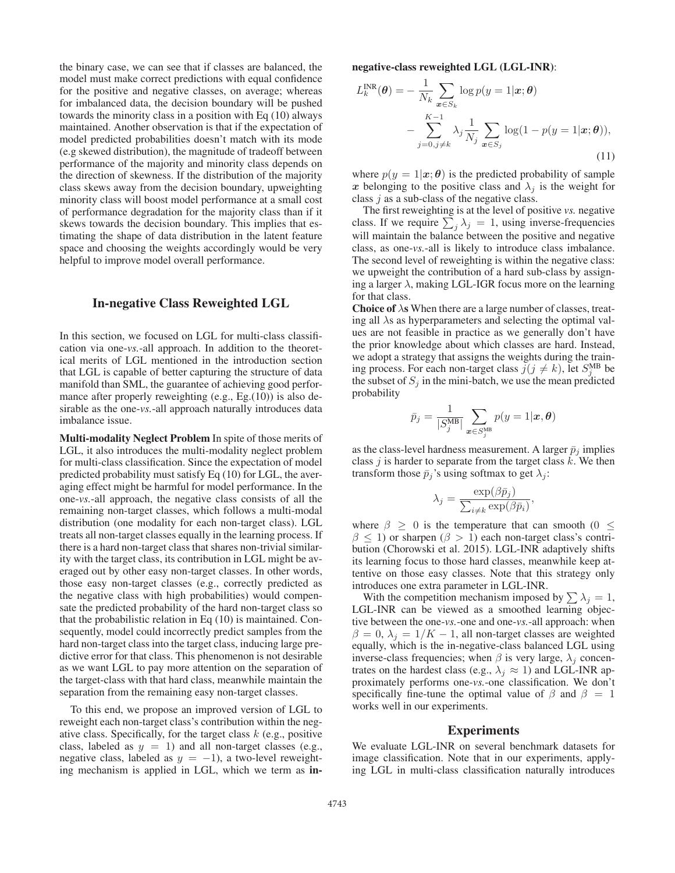the binary case, we can see that if classes are balanced, the model must make correct predictions with equal confidence for the positive and negative classes, on average; whereas for imbalanced data, the decision boundary will be pushed towards the minority class in a position with Eq (10) always maintained. Another observation is that if the expectation of model predicted probabilities doesn't match with its mode (e.g skewed distribution), the magnitude of tradeoff between performance of the majority and minority class depends on the direction of skewness. If the distribution of the majority class skews away from the decision boundary, upweighting minority class will boost model performance at a small cost of performance degradation for the majority class than if it skews towards the decision boundary. This implies that estimating the shape of data distribution in the latent feature space and choosing the weights accordingly would be very helpful to improve model overall performance.

## In-negative Class Reweighted LGL

In this section, we focused on LGL for multi-class classification via one-*vs.*-all approach. In addition to the theoretical merits of LGL mentioned in the introduction section that LGL is capable of better capturing the structure of data manifold than SML, the guarantee of achieving good performance after properly reweighting (e.g., Eg.(10)) is also desirable as the one-*vs.*-all approach naturally introduces data imbalance issue.

Multi-modality Neglect Problem In spite of those merits of LGL, it also introduces the multi-modality neglect problem for multi-class classification. Since the expectation of model predicted probability must satisfy Eq (10) for LGL, the averaging effect might be harmful for model performance. In the one-*vs.*-all approach, the negative class consists of all the remaining non-target classes, which follows a multi-modal distribution (one modality for each non-target class). LGL treats all non-target classes equally in the learning process. If there is a hard non-target class that shares non-trivial similarity with the target class, its contribution in LGL might be averaged out by other easy non-target classes. In other words, those easy non-target classes (e.g., correctly predicted as the negative class with high probabilities) would compensate the predicted probability of the hard non-target class so that the probabilistic relation in Eq (10) is maintained. Consequently, model could incorrectly predict samples from the hard non-target class into the target class, inducing large predictive error for that class. This phenomenon is not desirable as we want LGL to pay more attention on the separation of the target-class with that hard class, meanwhile maintain the separation from the remaining easy non-target classes.

To this end, we propose an improved version of LGL to reweight each non-target class's contribution within the negative class. Specifically, for the target class  $k$  (e.g., positive class, labeled as  $y = 1$ ) and all non-target classes (e.g., negative class, labeled as  $y = -1$ ), a two-level reweighting mechanism is applied in LGL, which we term as innegative-class reweighted LGL (LGL-INR):

$$
L_k^{\text{INR}}(\boldsymbol{\theta}) = -\frac{1}{N_k} \sum_{\boldsymbol{x} \in S_k} \log p(y = 1 | \boldsymbol{x}; \boldsymbol{\theta})
$$

$$
- \sum_{j=0, j \neq k}^{K-1} \lambda_j \frac{1}{N_j} \sum_{\boldsymbol{x} \in S_j} \log(1 - p(y = 1 | \boldsymbol{x}; \boldsymbol{\theta})),
$$
(11)

where  $p(y = 1 | x; \theta)$  is the predicted probability of sample *x* belonging to the positive class and  $\lambda_j$  is the weight for class  $j$  as a sub-class of the negative class.

The first reweighting is at the level of positive *vs.* negative class. If we require  $\sum_j \lambda_j = 1$ , using inverse-frequencies<br>will maintain the balance between the positive and peoplive will maintain the balance between the positive and negative class, as one-*vs.*-all is likely to introduce class imbalance. The second level of reweighting is within the negative class: we upweight the contribution of a hard sub-class by assigning a larger  $\lambda$ , making LGL-IGR focus more on the learning for that class.

**Choice of**  $\lambda$ s When there are a large number of classes, treating all  $\lambda$ s as hyperparameters and selecting the optimal values are not feasible in practice as we generally don't have the prior knowledge about which classes are hard. Instead, we adopt a strategy that assigns the weights during the training process. For each non-target class  $j(j \neq k)$ , let  $S_2^{\text{MB}}$  be the subset of  $S_k$  in the mini-batch we use the mean predicted the subset of  $S_j$  in the mini-batch, we use the mean predicted probability

$$
\bar{p}_j = \frac{1}{|S_j^{\text{MB}}|} \sum_{\bm{x} \in S_j^{\text{MB}}} p(y=1|\bm{x}, \bm{\theta})
$$

as the class-level hardness measurement. A larger  $\bar{p}_j$  implies class  $j$  is harder to separate from the target class  $k$ . We then transform those  $\bar{p}_i$ 's using softmax to get  $\lambda_i$ :

$$
\lambda_j = \frac{\exp(\beta \bar{p}_j)}{\sum_{i \neq k} \exp(\beta \bar{p}_i)},
$$

where  $\beta \geq 0$  is the temperature that can smooth (0  $\leq$  $\beta \leq 1$ ) or sharpen ( $\beta > 1$ ) each non-target class's contribution (Chorowski et al. 2015). LGL-INR adaptively shifts its learning focus to those hard classes, meanwhile keep attentive on those easy classes. Note that this strategy only introduces one extra parameter in LGL-INR.

With the competition mechanism imposed by  $\sum \lambda_j = 1$ ,<br>H<sub>r</sub>INR can be viewed as a smoothed learning object-LGL-INR can be viewed as a smoothed learning objective between the one-*vs.*-one and one-*vs.*-all approach: when  $\beta = 0$ ,  $\lambda_j = 1/K - 1$ , all non-target classes are weighted equally, which is the in-negative-class balanced LGL using inverse-class frequencies; when  $\beta$  is very large,  $\lambda_j$  concentrates on the hardest class (e.g.,  $\lambda_j \approx 1$ ) and LGL-INR approximately performs one-*vs.*-one classification. We don't specifically fine-tune the optimal value of  $\beta$  and  $\beta = 1$ works well in our experiments.

## Experiments

We evaluate LGL-INR on several benchmark datasets for image classification. Note that in our experiments, applying LGL in multi-class classification naturally introduces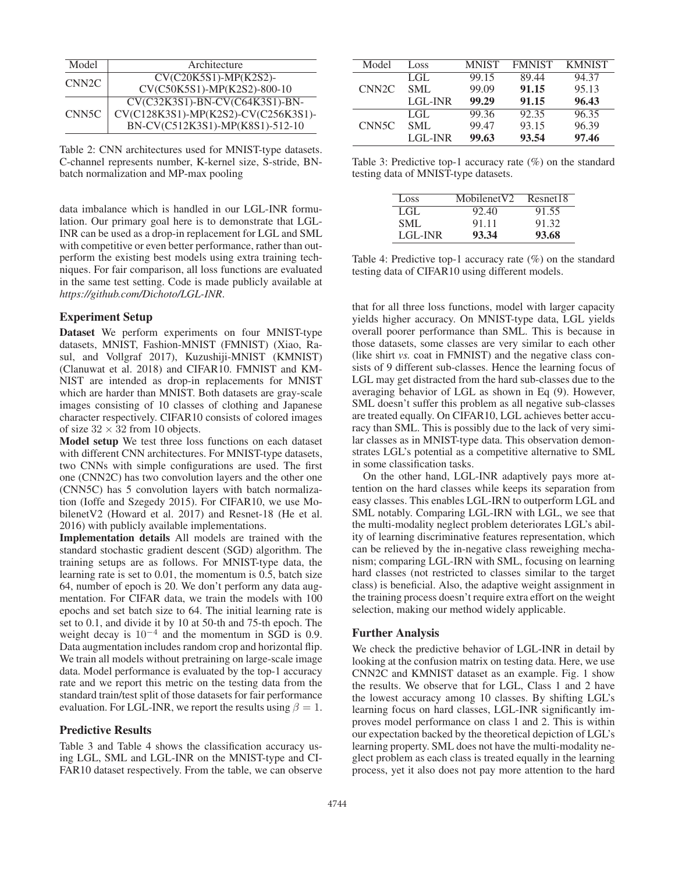| Model              | Architecture                        |
|--------------------|-------------------------------------|
| CNN <sub>2</sub> C | CV(C20K5S1)-MP(K2S2)-               |
|                    | CV(C50K5S1)-MP(K2S2)-800-10         |
| CNN <sub>5C</sub>  | CV(C32K3S1)-BN-CV(C64K3S1)-BN-      |
|                    | CV(C128K3S1)-MP(K2S2)-CV(C256K3S1)- |
|                    | BN-CV(C512K3S1)-MP(K8S1)-512-10     |

Table 2: CNN architectures used for MNIST-type datasets. C-channel represents number, K-kernel size, S-stride, BNbatch normalization and MP-max pooling

data imbalance which is handled in our LGL-INR formulation. Our primary goal here is to demonstrate that LGL-INR can be used as a drop-in replacement for LGL and SML with competitive or even better performance, rather than outperform the existing best models using extra training techniques. For fair comparison, all loss functions are evaluated in the same test setting. Code is made publicly available at *https://github.com/Dichoto/LGL-INR*.

### Experiment Setup

Dataset We perform experiments on four MNIST-type datasets, MNIST, Fashion-MNIST (FMNIST) (Xiao, Rasul, and Vollgraf 2017), Kuzushiji-MNIST (KMNIST) (Clanuwat et al. 2018) and CIFAR10. FMNIST and KM-NIST are intended as drop-in replacements for MNIST which are harder than MNIST. Both datasets are gray-scale images consisting of 10 classes of clothing and Japanese character respectively. CIFAR10 consists of colored images of size  $32 \times 32$  from 10 objects.

Model setup We test three loss functions on each dataset with different CNN architectures. For MNIST-type datasets, two CNNs with simple configurations are used. The first one (CNN2C) has two convolution layers and the other one (CNN5C) has 5 convolution layers with batch normalization (Ioffe and Szegedy 2015). For CIFAR10, we use MobilenetV2 (Howard et al. 2017) and Resnet-18 (He et al. 2016) with publicly available implementations.

Implementation details All models are trained with the standard stochastic gradient descent (SGD) algorithm. The training setups are as follows. For MNIST-type data, the learning rate is set to 0.01, the momentum is 0.5, batch size 64, number of epoch is 20. We don't perform any data augmentation. For CIFAR data, we train the models with 100 epochs and set batch size to 64. The initial learning rate is set to 0.1, and divide it by 10 at 50-th and 75-th epoch. The weight decay is  $10^{-4}$  and the momentum in SGD is 0.9. Data augmentation includes random crop and horizontal flip. We train all models without pretraining on large-scale image data. Model performance is evaluated by the top-1 accuracy rate and we report this metric on the testing data from the standard train/test split of those datasets for fair performance evaluation. For LGL-INR, we report the results using  $\beta = 1$ .

#### Predictive Results

Table 3 and Table 4 shows the classification accuracy using LGL, SML and LGL-INR on the MNIST-type and CI-FAR10 dataset respectively. From the table, we can observe

| Model              | Loss       | <b>MNIST</b> | <b>FMNIST</b> | <b>KMNIST</b> |
|--------------------|------------|--------------|---------------|---------------|
| CNN <sub>2</sub> C | LGL.       | 99.15        | 89.44         | 94.37         |
|                    | <b>SML</b> | 99.09        | 91.15         | 95.13         |
|                    | LGL-INR    | 99.29        | 91.15         | 96.43         |
| CNN <sub>5</sub> C | LGL        | 99.36        | 92.35         | 96.35         |
|                    | SML        | 99.47        | 93.15         | 96.39         |
|                    | LGL-INR    | 99.63        | 93.54         | 97.46         |

Table 3: Predictive top-1 accuracy rate (%) on the standard testing data of MNIST-type datasets.

| Loss    | Mobilenet <sub>V2</sub> | Resnet18 |
|---------|-------------------------|----------|
| LGL     | 92.40                   | 91.55    |
| SML     | 91.11                   | 91.32    |
| LGL-INR | 93.34                   | 93.68    |

Table 4: Predictive top-1 accuracy rate (%) on the standard testing data of CIFAR10 using different models.

that for all three loss functions, model with larger capacity yields higher accuracy. On MNIST-type data, LGL yields overall poorer performance than SML. This is because in those datasets, some classes are very similar to each other (like shirt *vs.* coat in FMNIST) and the negative class consists of 9 different sub-classes. Hence the learning focus of LGL may get distracted from the hard sub-classes due to the averaging behavior of LGL as shown in Eq (9). However, SML doesn't suffer this problem as all negative sub-classes are treated equally. On CIFAR10, LGL achieves better accuracy than SML. This is possibly due to the lack of very similar classes as in MNIST-type data. This observation demonstrates LGL's potential as a competitive alternative to SML in some classification tasks.

On the other hand, LGL-INR adaptively pays more attention on the hard classes while keeps its separation from easy classes. This enables LGL-IRN to outperform LGL and SML notably. Comparing LGL-IRN with LGL, we see that the multi-modality neglect problem deteriorates LGL's ability of learning discriminative features representation, which can be relieved by the in-negative class reweighing mechanism; comparing LGL-IRN with SML, focusing on learning hard classes (not restricted to classes similar to the target class) is beneficial. Also, the adaptive weight assignment in the training process doesn't require extra effort on the weight selection, making our method widely applicable.

#### Further Analysis

We check the predictive behavior of LGL-INR in detail by looking at the confusion matrix on testing data. Here, we use CNN2C and KMNIST dataset as an example. Fig. 1 show the results. We observe that for LGL, Class 1 and 2 have the lowest accuracy among 10 classes. By shifting LGL's learning focus on hard classes, LGL-INR significantly improves model performance on class 1 and 2. This is within our expectation backed by the theoretical depiction of LGL's learning property. SML does not have the multi-modality neglect problem as each class is treated equally in the learning process, yet it also does not pay more attention to the hard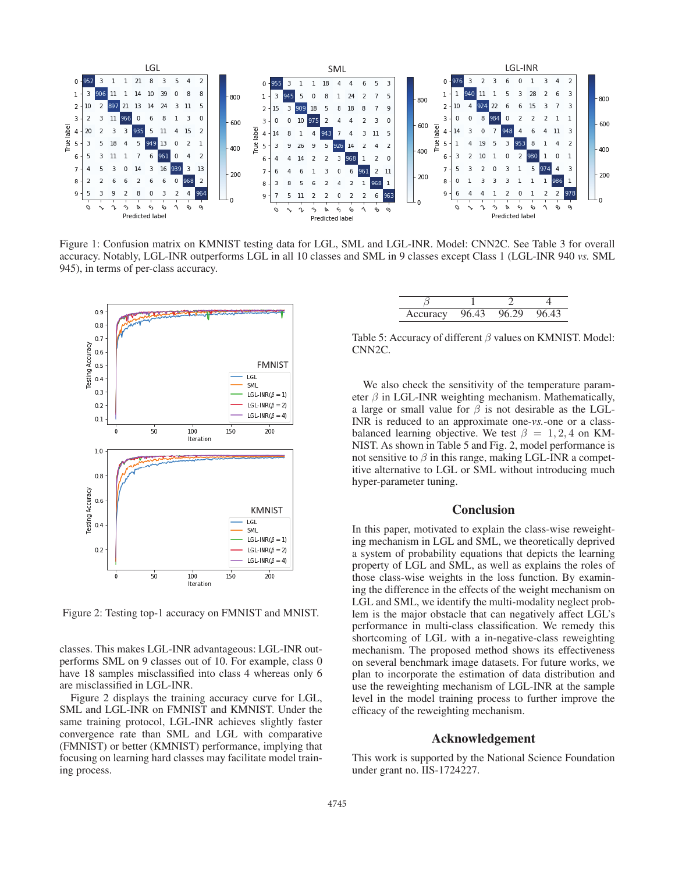

Figure 1: Confusion matrix on KMNIST testing data for LGL, SML and LGL-INR. Model: CNN2C. See Table 3 for overall accuracy. Notably, LGL-INR outperforms LGL in all 10 classes and SML in 9 classes except Class 1 (LGL-INR 940 *vs.* SML 945), in terms of per-class accuracy.



Figure 2: Testing top-1 accuracy on FMNIST and MNIST.

classes. This makes LGL-INR advantageous: LGL-INR outperforms SML on 9 classes out of 10. For example, class 0 have 18 samples misclassified into class 4 whereas only 6 are misclassified in LGL-INR.

Figure 2 displays the training accuracy curve for LGL, SML and LGL-INR on FMNIST and KMNIST. Under the same training protocol, LGL-INR achieves slightly faster convergence rate than SML and LGL with comparative (FMNIST) or better (KMNIST) performance, implying that focusing on learning hard classes may facilitate model training process.

| <b>iracy</b><br>$\alpha$ $\alpha$ $\alpha$ |  |  |
|--------------------------------------------|--|--|

Table 5: Accuracy of different  $\beta$  values on KMNIST. Model: CNN2C.

We also check the sensitivity of the temperature parameter  $\beta$  in LGL-INR weighting mechanism. Mathematically, a large or small value for  $\beta$  is not desirable as the LGL-INR is reduced to an approximate one-*vs.*-one or a classbalanced learning objective. We test  $\beta = 1, 2, 4$  on KM-NIST. As shown in Table 5 and Fig. 2, model performance is not sensitive to  $\beta$  in this range, making LGL-INR a competitive alternative to LGL or SML without introducing much hyper-parameter tuning.

## **Conclusion**

In this paper, motivated to explain the class-wise reweighting mechanism in LGL and SML, we theoretically deprived a system of probability equations that depicts the learning property of LGL and SML, as well as explains the roles of those class-wise weights in the loss function. By examining the difference in the effects of the weight mechanism on LGL and SML, we identify the multi-modality neglect problem is the major obstacle that can negatively affect LGL's performance in multi-class classification. We remedy this shortcoming of LGL with a in-negative-class reweighting mechanism. The proposed method shows its effectiveness on several benchmark image datasets. For future works, we plan to incorporate the estimation of data distribution and use the reweighting mechanism of LGL-INR at the sample level in the model training process to further improve the efficacy of the reweighting mechanism.

## Acknowledgement

This work is supported by the National Science Foundation under grant no. IIS-1724227.